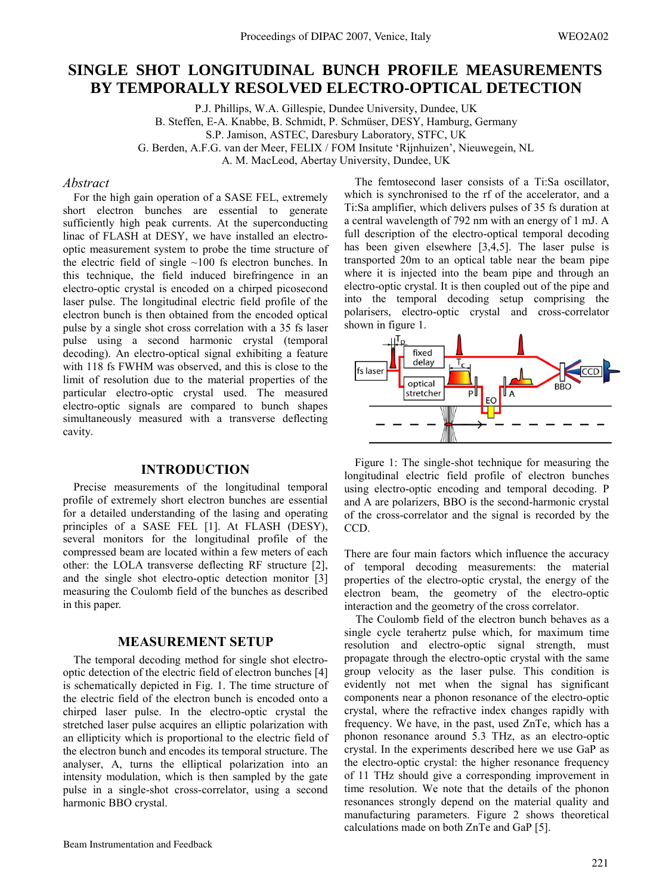# **SINGLE SHOT LONGITUDINAL BUNCH PROFILE MEASUREMENTS BY TEMPORALLY RESOLVED ELECTRO-OPTICAL DETECTION**

P.J. Phillips, W.A. Gillespie, Dundee University, Dundee, UK B. Steffen, E-A. Knabbe, B. Schmidt, P. Schmüser, DESY, Hamburg, Germany S.P. Jamison, ASTEC, Daresbury Laboratory, STFC, UK G. Berden, A.F.G. van der Meer, FELIX / FOM Insitute 'Rijnhuizen', Nieuwegein, NL A. M. MacLeod, Abertay University, Dundee, UK

## *Abstract*

For the high gain operation of a SASE FEL, extremely short electron bunches are essential to generate sufficiently high peak currents. At the superconducting linac of FLASH at DESY, we have installed an electrooptic measurement system to probe the time structure of the electric field of single  $\sim$ 100 fs electron bunches. In this technique, the field induced birefringence in an electro-optic crystal is encoded on a chirped picosecond laser pulse. The longitudinal electric field profile of the electron bunch is then obtained from the encoded optical pulse by a single shot cross correlation with a 35 fs laser pulse using a second harmonic crystal (temporal decoding). An electro-optical signal exhibiting a feature with 118 fs FWHM was observed, and this is close to the limit of resolution due to the material properties of the particular electro-optic crystal used. The measured electro-optic signals are compared to bunch shapes simultaneously measured with a transverse deflecting cavity.

## **INTRODUCTION**

Precise measurements of the longitudinal temporal profile of extremely short electron bunches are essential for a detailed understanding of the lasing and operating principles of a SASE FEL [1]. At FLASH (DESY), several monitors for the longitudinal profile of the compressed beam are located within a few meters of each other: the LOLA transverse deflecting RF structure [2], and the single shot electro-optic detection monitor [3] measuring the Coulomb field of the bunches as described in this paper.

#### **MEASUREMENT SETUP**

The temporal decoding method for single shot electrooptic detection of the electric field of electron bunches [4] is schematically depicted in Fig. 1. The time structure of the electric field of the electron bunch is encoded onto a chirped laser pulse. In the electro-optic crystal the stretched laser pulse acquires an elliptic polarization with an ellipticity which is proportional to the electric field of the electron bunch and encodes its temporal structure. The analyser, A, turns the elliptical polarization into an intensity modulation, which is then sampled by the gate pulse in a single-shot cross-correlator, using a second harmonic BBO crystal.

The femtosecond laser consists of a Ti:Sa oscillator, which is synchronised to the rf of the accelerator, and a Ti:Sa amplifier, which delivers pulses of 35 fs duration at a central wavelength of 792 nm with an energy of 1 mJ. A full description of the electro-optical temporal decoding has been given elsewhere [3,4,5]. The laser pulse is transported 20m to an optical table near the beam pipe where it is injected into the beam pipe and through an electro-optic crystal. It is then coupled out of the pipe and into the temporal decoding setup comprising the polarisers, electro-optic crystal and cross-correlator shown in figure 1.



Figure 1: The single-shot technique for measuring the longitudinal electric field profile of electron bunches using electro-optic encoding and temporal decoding. P and A are polarizers, BBO is the second-harmonic crystal of the cross-correlator and the signal is recorded by the CCD.

There are four main factors which influence the accuracy of temporal decoding measurements: the material properties of the electro-optic crystal, the energy of the electron beam, the geometry of the electro-optic interaction and the geometry of the cross correlator.

 The Coulomb field of the electron bunch behaves as a single cycle terahertz pulse which, for maximum time resolution and electro-optic signal strength, must propagate through the electro-optic crystal with the same group velocity as the laser pulse. This condition is evidently not met when the signal has significant components near a phonon resonance of the electro-optic crystal, where the refractive index changes rapidly with frequency. We have, in the past, used ZnTe, which has a phonon resonance around 5.3 THz, as an electro-optic crystal. In the experiments described here we use GaP as the electro-optic crystal: the higher resonance frequency of 11 THz should give a corresponding improvement in time resolution. We note that the details of the phonon resonances strongly depend on the material quality and manufacturing parameters. Figure 2 shows theoretical calculations made on both ZnTe and GaP [5].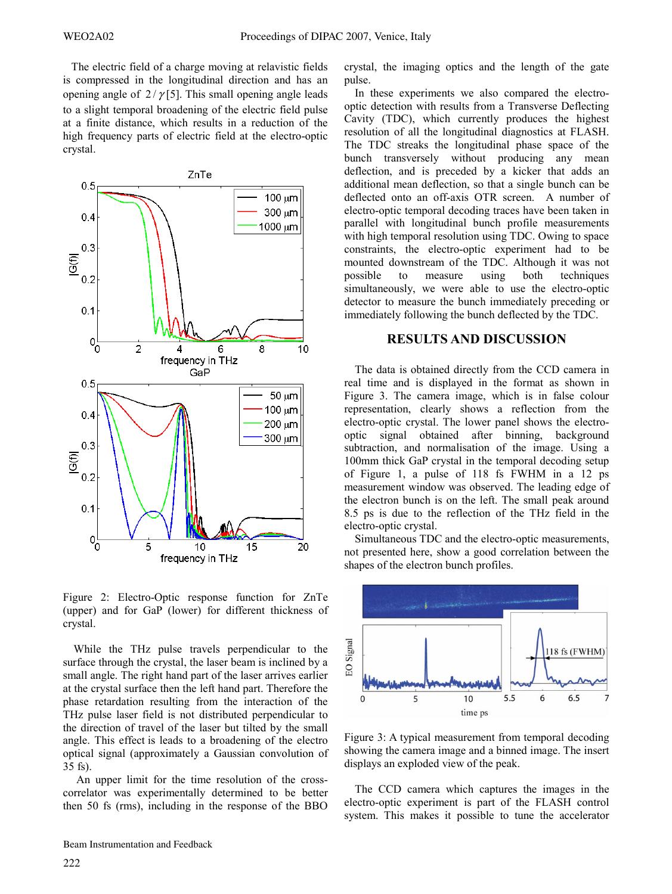The electric field of a charge moving at relavistic fields is compressed in the longitudinal direction and has an opening angle of  $2/\gamma$ [5]. This small opening angle leads to a slight temporal broadening of the electric field pulse at a finite distance, which results in a reduction of the high frequency parts of electric field at the electro-optic crystal.



Figure 2: Electro-Optic response function for ZnTe (upper) and for GaP (lower) for different thickness of crystal.

While the THz pulse travels perpendicular to the surface through the crystal, the laser beam is inclined by a small angle. The right hand part of the laser arrives earlier at the crystal surface then the left hand part. Therefore the phase retardation resulting from the interaction of the THz pulse laser field is not distributed perpendicular to the direction of travel of the laser but tilted by the small angle. This effect is leads to a broadening of the electro optical signal (approximately a Gaussian convolution of 35 fs).

 An upper limit for the time resolution of the crosscorrelator was experimentally determined to be better then 50 fs (rms), including in the response of the BBO crystal, the imaging optics and the length of the gate pulse.

In these experiments we also compared the electrooptic detection with results from a Transverse Deflecting Cavity (TDC), which currently produces the highest resolution of all the longitudinal diagnostics at FLASH. The TDC streaks the longitudinal phase space of the bunch transversely without producing any mean deflection, and is preceded by a kicker that adds an additional mean deflection, so that a single bunch can be deflected onto an off-axis OTR screen. A number of electro-optic temporal decoding traces have been taken in parallel with longitudinal bunch profile measurements with high temporal resolution using TDC. Owing to space constraints, the electro-optic experiment had to be mounted downstream of the TDC. Although it was not possible to measure using both techniques to measure using both techniques simultaneously, we were able to use the electro-optic detector to measure the bunch immediately preceding or immediately following the bunch deflected by the TDC.

## **RESULTS AND DISCUSSION**

The data is obtained directly from the CCD camera in real time and is displayed in the format as shown in Figure 3. The camera image, which is in false colour representation, clearly shows a reflection from the electro-optic crystal. The lower panel shows the electrooptic signal obtained after binning, background subtraction, and normalisation of the image. Using a 100mm thick GaP crystal in the temporal decoding setup of Figure 1, a pulse of 118 fs FWHM in a 12 ps measurement window was observed. The leading edge of the electron bunch is on the left. The small peak around 8.5 ps is due to the reflection of the THz field in the electro-optic crystal.

Simultaneous TDC and the electro-optic measurements, not presented here, show a good correlation between the shapes of the electron bunch profiles.



Figure 3: A typical measurement from temporal decoding showing the camera image and a binned image. The insert displays an exploded view of the peak.

The CCD camera which captures the images in the electro-optic experiment is part of the FLASH control system. This makes it possible to tune the accelerator